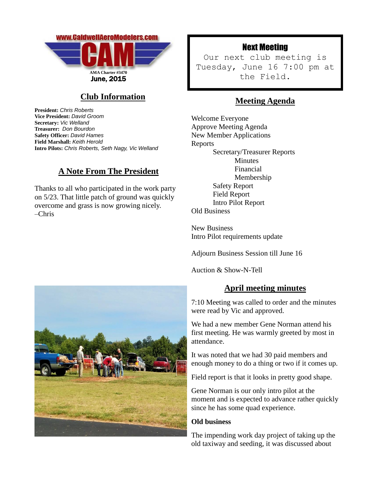

# **Club Information**

**President:** *Chris Roberts* **Vice President:** *David Groom* **Secretary:** *Vic Welland* **Treasurer:** *Don Bourdon* **Safety Officer:** *David Hames* **Field Marshall:** *Keith Herold* **Intro Pilots:** *Chris Roberts, Seth Nagy, Vic Welland*

## **A Note From The President**

Thanks to all who participated in the work party on 5/23. That little patch of ground was quickly overcome and grass is now growing nicely. –Chris

# Next Meeting

Our next club meeting is Tuesday, June 16 7:00 pm at the Field.

## **Meeting Agenda**

Welcome Everyone Approve Meeting Agenda New Member Applications Reports Secretary/Treasurer Reports Minutes Financial Membership Safety Report Field Report Intro Pilot Report Old Business

New Business Intro Pilot requirements update

Adjourn Business Session till June 16

Auction & Show-N-Tell

### **April meeting minutes**

7:10 Meeting was called to order and the minutes were read by Vic and approved.

We had a new member Gene Norman attend his first meeting. He was warmly greeted by most in attendance.

It was noted that we had 30 paid members and enough money to do a thing or two if it comes up.

Field report is that it looks in pretty good shape.

Gene Norman is our only intro pilot at the moment and is expected to advance rather quickly since he has some quad experience.

#### **Old business**

The impending work day project of taking up the old taxiway and seeding, it was discussed about